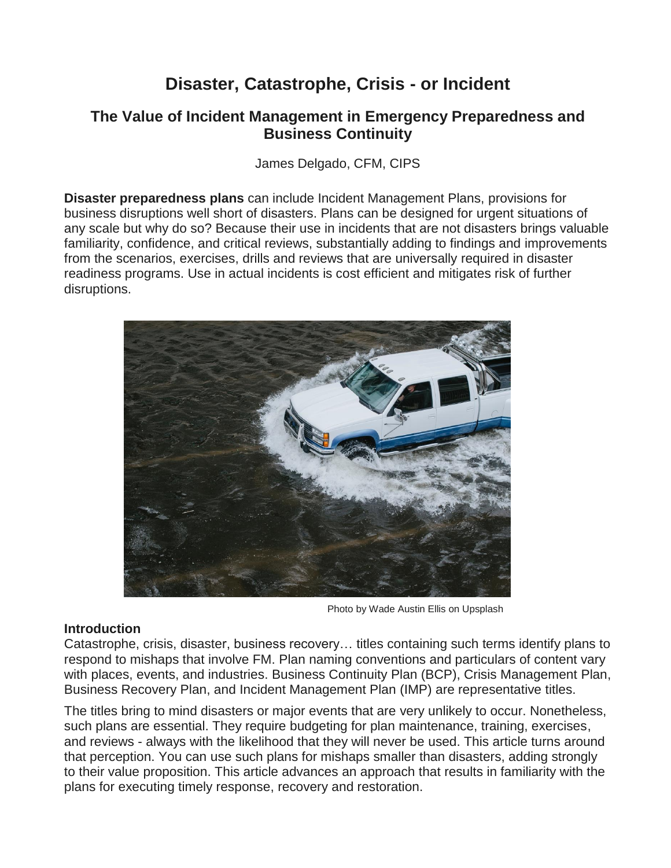# **Disaster, Catastrophe, Crisis - or Incident**

# **The Value of Incident Management in Emergency Preparedness and Business Continuity**

James Delgado, CFM, CIPS

**Disaster preparedness plans** can include Incident Management Plans, provisions for business disruptions well short of disasters. Plans can be designed for urgent situations of any scale but why do so? Because their use in incidents that are not disasters brings valuable familiarity, confidence, and critical reviews, substantially adding to findings and improvements from the scenarios, exercises, drills and reviews that are universally required in disaster readiness programs. Use in actual incidents is cost efficient and mitigates risk of further disruptions.



Photo by Wade Austin Ellis on Upsplash

# **Introduction**

Catastrophe, crisis, disaster, business recovery… titles containing such terms identify plans to respond to mishaps that involve FM. Plan naming conventions and particulars of content vary with places, events, and industries. Business Continuity Plan (BCP), Crisis Management Plan, Business Recovery Plan, and Incident Management Plan (IMP) are representative titles.

The titles bring to mind disasters or major events that are very unlikely to occur. Nonetheless, such plans are essential. They require budgeting for plan maintenance, training, exercises, and reviews - always with the likelihood that they will never be used. This article turns around that perception. You can use such plans for mishaps smaller than disasters, adding strongly to their value proposition. This article advances an approach that results in familiarity with the plans for executing timely response, recovery and restoration.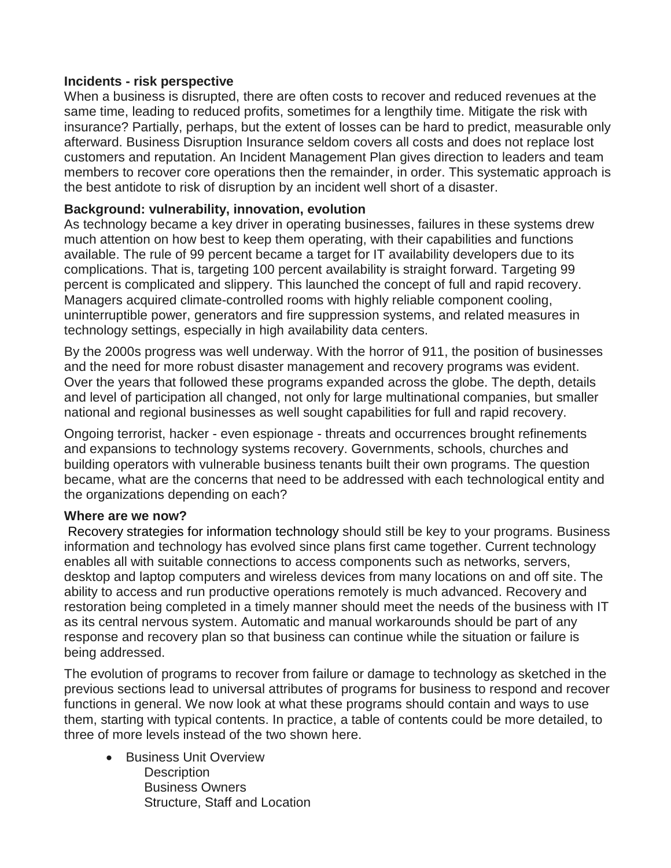## **Incidents - risk perspective**

When a business is disrupted, there are often costs to recover and reduced revenues at the same time, leading to reduced profits, sometimes for a lengthily time. Mitigate the risk with insurance? Partially, perhaps, but the extent of losses can be hard to predict, measurable only afterward. Business Disruption Insurance seldom covers all costs and does not replace lost customers and reputation. An Incident Management Plan gives direction to leaders and team members to recover core operations then the remainder, in order. This systematic approach is the best antidote to risk of disruption by an incident well short of a disaster.

## **Background: vulnerability, innovation, evolution**

As technology became a key driver in operating businesses, failures in these systems drew much attention on how best to keep them operating, with their capabilities and functions available. The rule of 99 percent became a target for IT availability developers due to its complications. That is, targeting 100 percent availability is straight forward. Targeting 99 percent is complicated and slippery. This launched the concept of full and rapid recovery. Managers acquired climate-controlled rooms with highly reliable component cooling, uninterruptible power, generators and fire suppression systems, and related measures in technology settings, especially in high availability data centers.

By the 2000s progress was well underway. With the horror of 911, the position of businesses and the need for more robust disaster management and recovery programs was evident. Over the years that followed these programs expanded across the globe. The depth, details and level of participation all changed, not only for large multinational companies, but smaller national and regional businesses as well sought capabilities for full and rapid recovery.

Ongoing terrorist, hacker - even espionage - threats and occurrences brought refinements and expansions to technology systems recovery. Governments, schools, churches and building operators with vulnerable business tenants built their own programs. The question became, what are the concerns that need to be addressed with each technological entity and the organizations depending on each?

#### **Where are we now?**

[Recovery strategies for information technology](https://www.ready.gov/business/implementation/IT) should still be key to your programs. Business information and technology has evolved since plans first came together. Current technology enables all with suitable connections to access components such as networks, servers, desktop and laptop computers and wireless devices from many locations on and off site. The ability to access and run productive operations remotely is much advanced. Recovery and restoration being completed in a timely manner should meet the needs of the business with IT as its central nervous system. Automatic and manual workarounds should be part of any response and recovery plan so that business can continue while the situation or failure is being addressed.

The evolution of programs to recover from failure or damage to technology as sketched in the previous sections lead to universal attributes of programs for business to respond and recover functions in general. We now look at what these programs should contain and ways to use them, starting with typical contents. In practice, a table of contents could be more detailed, to three of more levels instead of the two shown here.

**•** Business Unit Overview **Description**  Business Owners Structure, Staff and Location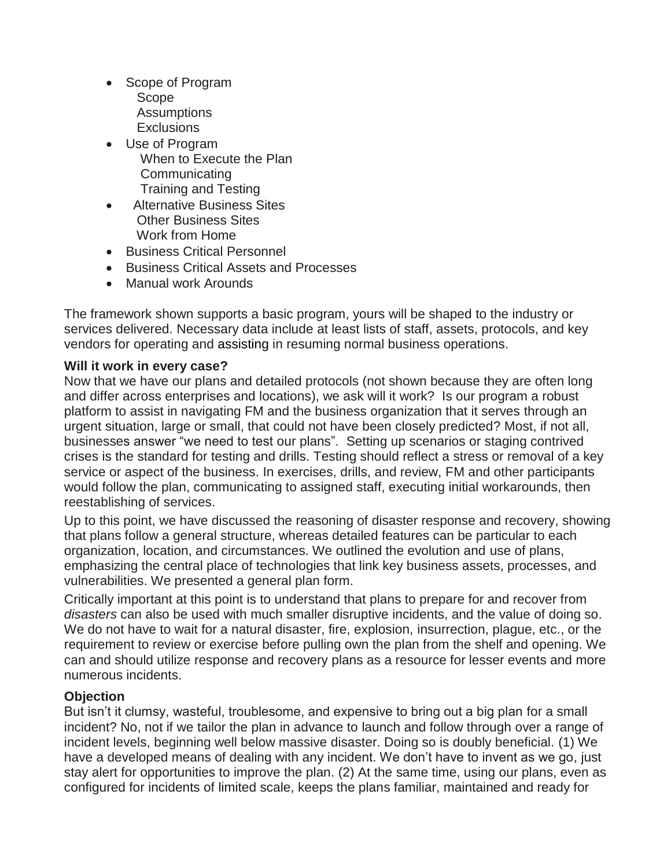- Scope of Program Scope Assumptions **Exclusions**
- Use of Program When to Execute the Plan **Communicating** Training and Testing
- Alternative Business Sites Other Business Sites Work from Home
- Business Critical Personnel
- Business Critical Assets and Processes
- Manual work Arounds

The framework shown supports a basic program, yours will be shaped to the industry or services delivered. Necessary data include at least lists of staff, assets, protocols, and key vendors for operating and assisting in resuming normal business operations.

# **Will it work in every case?**

Now that we have our plans and detailed protocols (not shown because they are often long and differ across enterprises and locations), we ask will it work? Is our program a robust platform to assist in navigating FM and the business organization that it serves through an urgent situation, large or small, that could not have been closely predicted? Most, if not all, businesses answer "we need to test our plans". Setting up scenarios or staging contrived crises is the standard for testing and drills. Testing should reflect a stress or removal of a key service or aspect of the business. In exercises, drills, and review, FM and other participants would follow the plan, communicating to assigned staff, executing initial workarounds, then reestablishing of services.

Up to this point, we have discussed the reasoning of disaster response and recovery, showing that plans follow a general structure, whereas detailed features can be particular to each organization, location, and circumstances. We outlined the evolution and use of plans, emphasizing the central place of technologies that link key business assets, processes, and vulnerabilities. We presented a general plan form.

Critically important at this point is to understand that plans to prepare for and recover from *disasters* can also be used with much smaller disruptive incidents, and the value of doing so. We do not have to wait for a natural disaster, fire, explosion, insurrection, plague, etc., or the requirement to review or exercise before pulling own the plan from the shelf and opening. We can and should utilize response and recovery plans as a resource for lesser events and more numerous incidents.

# **Objection**

But isn't it clumsy, wasteful, troublesome, and expensive to bring out a big plan for a small incident? No, not if we tailor the plan in advance to launch and follow through over a range of incident levels, beginning well below massive disaster. Doing so is doubly beneficial. (1) We have a developed means of dealing with any incident. We don't have to invent as we go, just stay alert for opportunities to improve the plan. (2) At the same time, using our plans, even as configured for incidents of limited scale, keeps the plans familiar, maintained and ready for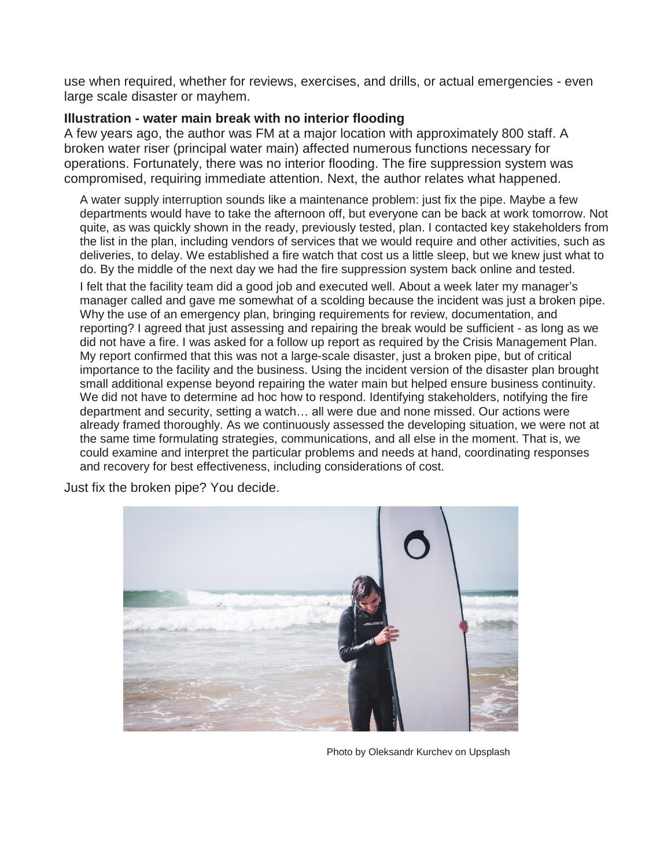use when required, whether for reviews, exercises, and drills, or actual emergencies - even large scale disaster or mayhem.

# **Illustration - water main break with no interior flooding**

A few years ago, the author was FM at a major location with approximately 800 staff. A broken water riser (principal water main) affected numerous functions necessary for operations. Fortunately, there was no interior flooding. The fire suppression system was compromised, requiring immediate attention. Next, the author relates what happened.

A water supply interruption sounds like a maintenance problem: just fix the pipe. Maybe a few departments would have to take the afternoon off, but everyone can be back at work tomorrow. Not quite, as was quickly shown in the ready, previously tested, plan. I contacted key stakeholders from the list in the plan, including vendors of services that we would require and other activities, such as deliveries, to delay. We established a fire watch that cost us a little sleep, but we knew just what to do. By the middle of the next day we had the fire suppression system back online and tested.

I felt that the facility team did a good job and executed well. About a week later my manager's manager called and gave me somewhat of a scolding because the incident was just a broken pipe. Why the use of an emergency plan, bringing requirements for review, documentation, and reporting? I agreed that just assessing and repairing the break would be sufficient - as long as we did not have a fire. I was asked for a follow up report as required by the Crisis Management Plan. My report confirmed that this was not a large-scale disaster, just a broken pipe, but of critical importance to the facility and the business. Using the incident version of the disaster plan brought small additional expense beyond repairing the water main but helped ensure business continuity. We did not have to determine ad hoc how to respond. Identifying stakeholders, notifying the fire department and security, setting a watch… all were due and none missed. Our actions were already framed thoroughly. As we continuously assessed the developing situation, we were not at the same time formulating strategies, communications, and all else in the moment. That is, we could examine and interpret the particular problems and needs at hand, coordinating responses and recovery for best effectiveness, including considerations of cost.

Just fix the broken pipe? You decide.



Photo by Oleksandr Kurchev on Upsplash